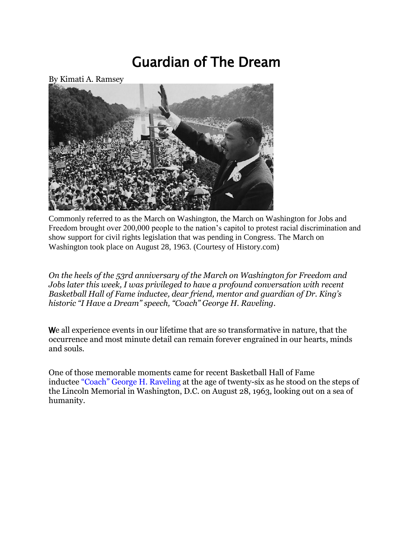# Guardian of The Dream



Commonly referred to as the March on Washington, the March on Washington for Jobs and Freedom brought over 200,000 people to the nation's capitol to protest racial discrimination and show support for civil rights legislation that was pending in Congress. The March on Washington took place on August 28, 1963. (Courtesy of History.com)

*On the heels of the 53rd anniversary of the March on Washington for Freedom and Jobs later this week, I was privileged to have a profound conversation with recent Basketball Hall of Fame inductee, dear friend, mentor and guardian of Dr. King's historic "I Have a Dream" speech, "Coach" George H. Raveling.*

We all experience events in our lifetime that are so transformative in nature, that the occurrence and most minute detail can remain forever engrained in our hearts, minds and souls.

One of those memorable moments came for recent Basketball Hall of Fame inductee ["Coach" George H. Raveling](http://coachgeorgeraveling.com/) at the age of twenty-six as he stood on the steps of the Lincoln Memorial in Washington, D.C. on August 28, 1963, looking out on a sea of humanity.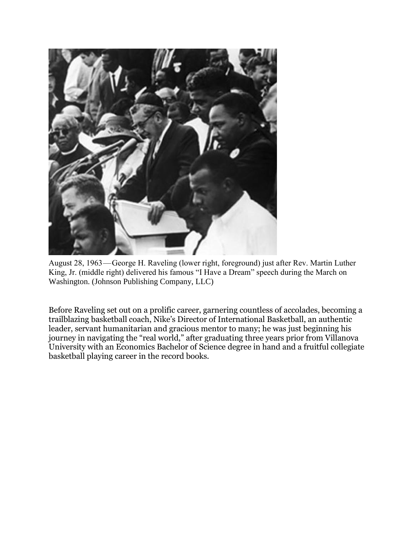

August 28, 1963 — George H. Raveling (lower right, foreground) just after Rev. Martin Luther King, Jr. (middle right) delivered his famous "I Have a Dream" speech during the March on Washington. (Johnson Publishing Company, LLC)

Before Raveling set out on a prolific career, garnering countless of accolades, becoming a trailblazing basketball coach, Nike's Director of International Basketball, an authentic leader, servant humanitarian and gracious mentor to many; he was just beginning his journey in navigating the "real world," after graduating three years prior from Villanova University with an Economics Bachelor of Science degree in hand and a fruitful collegiate basketball playing career in the record books.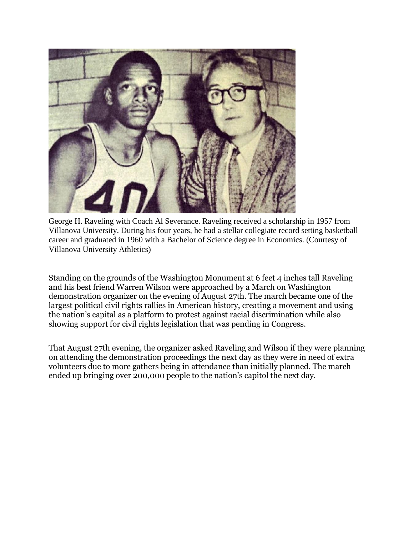

George H. Raveling with Coach Al Severance. Raveling received a scholarship in 1957 from Villanova University. During his four years, he had a stellar collegiate record setting basketball career and graduated in 1960 with a Bachelor of Science degree in Economics. (Courtesy of Villanova University Athletics)

Standing on the grounds of the Washington Monument at 6 feet 4 inches tall Raveling and his best friend Warren Wilson were approached by a March on Washington demonstration organizer on the evening of August 27th. The march became one of the largest political civil rights rallies in American history, creating a movement and using the nation's capital as a platform to protest against racial discrimination while also showing support for civil rights legislation that was pending in Congress.

That August 27th evening, the organizer asked Raveling and Wilson if they were planning on attending the demonstration proceedings the next day as they were in need of extra volunteers due to more gathers being in attendance than initially planned. The march ended up bringing over 200,000 people to the nation's capitol the next day.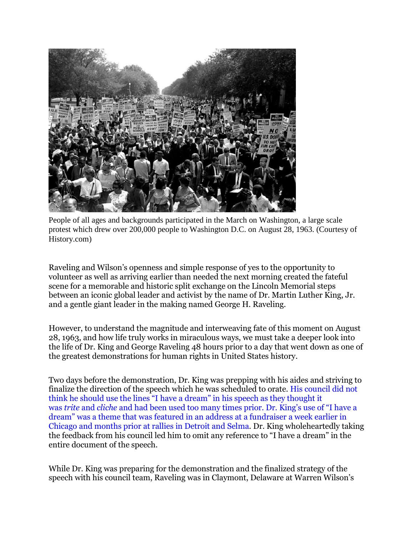

People of all ages and backgrounds participated in the March on Washington, a large scale protest which drew over 200,000 people to Washington D.C. on August 28, 1963. (Courtesy of History.com)

Raveling and Wilson's openness and simple response of yes to the opportunity to volunteer as well as arriving earlier than needed the next morning created the fateful scene for a memorable and historic split exchange on the Lincoln Memorial steps between an iconic global leader and activist by the name of Dr. Martin Luther King, Jr. and a gentle giant leader in the making named George H. Raveling.

However, to understand the magnitude and interweaving fate of this moment on August 28, 1963, and how life truly works in miraculous ways, we must take a deeper look into the life of Dr. King and George Raveling 48 hours prior to a day that went down as one of the greatest demonstrations for human rights in United States history.

Two days before the demonstration, Dr. King was prepping with his aides and striving to finalize the direction of the speech which he was scheduled to orate. [His council did not](https://www.theguardian.com/world/2013/aug/09/martin-luther-king-dream-speech-history)  [think he should use the lines "I have a dream" in his speech as they thought it](https://www.theguardian.com/world/2013/aug/09/martin-luther-king-dream-speech-history)  was *trite* and *cliche* [and had been used too many times prior. Dr. King's use of "I have a](https://www.theguardian.com/world/2013/aug/09/martin-luther-king-dream-speech-history)  [dream" was a theme that was featured in an address at a fundraiser a week](https://www.theguardian.com/world/2013/aug/09/martin-luther-king-dream-speech-history) earlier in [Chicago and months prior at rallies in Detroit and Selma.](https://www.theguardian.com/world/2013/aug/09/martin-luther-king-dream-speech-history) Dr. King wholeheartedly taking the feedback from his council led him to omit any reference to "I have a dream" in the entire document of the speech.

While Dr. King was preparing for the demonstration and the finalized strategy of the speech with his council team, Raveling was in Claymont, Delaware at Warren Wilson's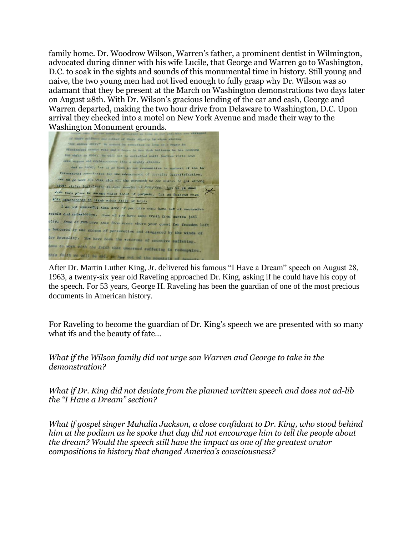family home. Dr. Woodrow Wilson, Warren's father, a prominent dentist in Wilmington, advocated during dinner with his wife Lucile, that George and Warren go to Washington, D.C. to soak in the sights and sounds of this monumental time in history. Still young and naive, the two young men had not lived enough to fully grasp why Dr. Wilson was so adamant that they be present at the March on Washington demonstrations two days later on August 28th. With Dr. Wilson's gracious lending of the car and cash, George and Warren departed, making the two hour drive from Delaware to Washington, D.C. Upon arrival they checked into a motel on New York Avenue and made their way to the Washington Monument grounds.

I their strategy by shops attending "for endows entry" to somet be settled as long as a Segro in Masissippi commot vote and = hegre in mew York believes he has octhing for which to wate. We will not be satisfied until justice rolls down ifke waters and righteousnoss like a mighty stream. And so today, let us go back to our communities as mombers of the inrernational association for the advancement of creative dissatisfaction. Let us go back and work with all the strength we can muster to get strong sivil rights legislation in this season of demptiss. Let us ge devn<br>single this place to ascend other peaks of purpose. Let us descend from this mountaintop to climb other hills of hope. I am not unmindful that some of you have come here out of excessive trials and tribulation. Some of you have come fresh from narrow jail ells. Some of you have come from dress where your quest for freedom left battered by the storms of persecution and staggered by the winds of ice brutality. You have been the veterans of creative suffering. towe to work with the faith that uncerned auffering is redemptive. this fold, we will be able to have out of the mountain

After Dr. Martin Luther King, Jr. delivered his famous "I Have a Dream" speech on August 28, 1963, a twenty-six year old Raveling approached Dr. King, asking if he could have his copy of the speech. For 53 years, George H. Raveling has been the guardian of one of the most precious documents in American history.

For Raveling to become the guardian of Dr. King's speech we are presented with so many what ifs and the beauty of fate…

*What if the Wilson family did not urge son Warren and George to take in the demonstration?*

*What if Dr. King did not deviate from the planned written speech and does not ad-lib the "I Have a Dream" section?*

*What if gospel singer Mahalia Jackson, a close confidant to Dr. King, who stood behind him at the podium as he spoke that day did not encourage him to tell the people about the dream? Would the speech still have the impact as one of the greatest orator compositions in history that changed America's consciousness?*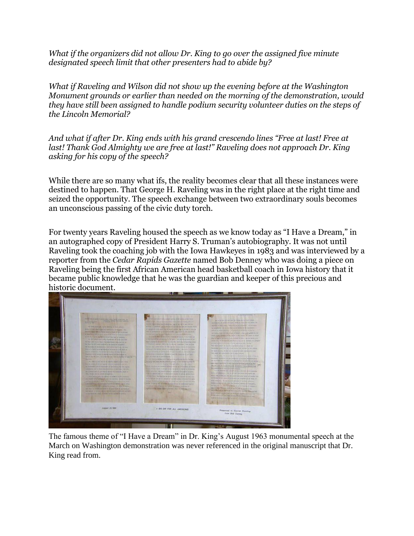*What if the organizers did not allow Dr. King to go over the assigned five minute designated speech limit that other presenters had to abide by?*

*What if Raveling and Wilson did not show up the evening before at the Washington Monument grounds or earlier than needed on the morning of the demonstration, would they have still been assigned to handle podium security volunteer duties on the steps of the Lincoln Memorial?*

*And what if after Dr. King ends with his grand crescendo lines "Free at last! Free at last! Thank God Almighty we are free at last!" Raveling does not approach Dr. King asking for his copy of the speech?*

While there are so many what ifs, the reality becomes clear that all these instances were destined to happen. That George H. Raveling was in the right place at the right time and seized the opportunity. The speech exchange between two extraordinary souls becomes an unconscious passing of the civic duty torch.

For twenty years Raveling housed the speech as we know today as "I Have a Dream," in an autographed copy of President Harry S. Truman's autobiography. It was not until Raveling took the coaching job with the Iowa Hawkeyes in 1983 and was interviewed by a reporter from the *Cedar Rapids Gazette* named Bob Denney who was doing a piece on Raveling being the first African American head basketball coach in Iowa history that it became public knowledge that he was the guardian and keeper of this precious and historic document.



The famous theme of "I Have a Dream" in Dr. King's August 1963 monumental speech at the March on Washington demonstration was never referenced in the original manuscript that Dr. King read from.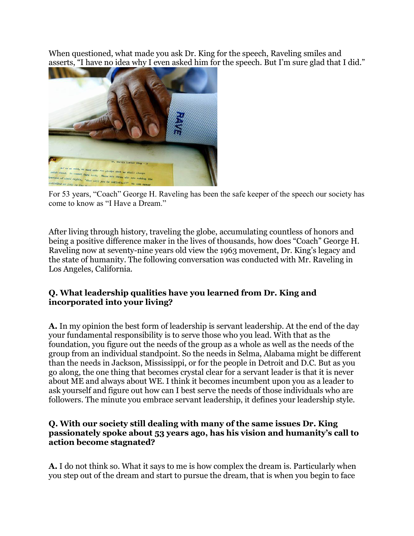When questioned, what made you ask Dr. King for the speech, Raveling smiles and asserts, "I have no idea why I even asked him for the speech. But I'm sure glad that I did."



For 53 years, "Coach" George H. Raveling has been the safe keeper of the speech our society has come to know as "I Have a Dream."

After living through history, traveling the globe, accumulating countless of honors and being a positive difference maker in the lives of thousands, how does "Coach" George H. Raveling now at seventy-nine years old view the 1963 movement, Dr. King's legacy and the state of humanity. The following conversation was conducted with Mr. Raveling in Los Angeles, California.

## **Q. What leadership qualities have you learned from Dr. King and incorporated into your living?**

**A.** In my opinion the best form of leadership is servant leadership. At the end of the day your fundamental responsibility is to serve those who you lead. With that as the foundation, you figure out the needs of the group as a whole as well as the needs of the group from an individual standpoint. So the needs in Selma, Alabama might be different than the needs in Jackson, Mississippi, or for the people in Detroit and D.C. But as you go along, the one thing that becomes crystal clear for a servant leader is that it is never about ME and always about WE. I think it becomes incumbent upon you as a leader to ask yourself and figure out how can I best serve the needs of those individuals who are followers. The minute you embrace servant leadership, it defines your leadership style.

#### **Q. With our society still dealing with many of the same issues Dr. King passionately spoke about 53 years ago, has his vision and humanity's call to action become stagnated?**

**A.** I do not think so. What it says to me is how complex the dream is. Particularly when you step out of the dream and start to pursue the dream, that is when you begin to face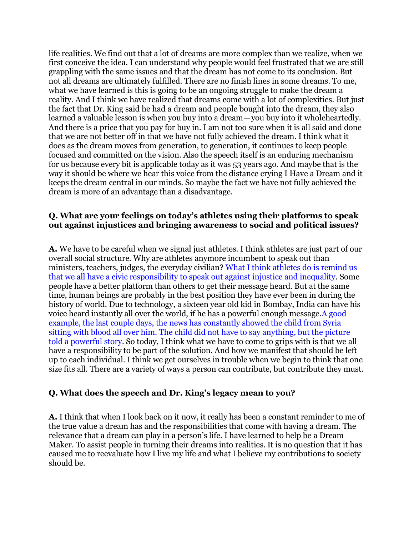life realities. We find out that a lot of dreams are more complex than we realize, when we first conceive the idea. I can understand why people would feel frustrated that we are still grappling with the same issues and that the dream has not come to its conclusion. But not all dreams are ultimately fulfilled. There are no finish lines in some dreams. To me, what we have learned is this is going to be an ongoing struggle to make the dream a reality. And I think we have realized that dreams come with a lot of complexities. But just the fact that Dr. King said he had a dream and people bought into the dream, they also learned a valuable lesson is when you buy into a dream—you buy into it wholeheartedly. And there is a price that you pay for buy in. I am not too sure when it is all said and done that we are not better off in that we have not fully achieved the dream. I think what it does as the dream moves from generation, to generation, it continues to keep people focused and committed on the vision. Also the speech itself is an enduring mechanism for us because every bit is applicable today as it was 53 years ago. And maybe that is the way it should be where we hear this voice from the distance crying I Have a Dream and it keeps the dream central in our minds. So maybe the fact we have not fully achieved the dream is more of an advantage than a disadvantage.

#### **Q. What are your feelings on today's athletes using their platforms to speak out against injustices and bringing awareness to social and political issues?**

**A.** We have to be careful when we signal just athletes. I think athletes are just part of our overall social structure. Why are athletes anymore incumbent to speak out than ministers, teachers, judges, the everyday civilian? [What I think athletes do is remind us](https://medium.com/coaching-for-success/when-athletes-become-activists-4b3f5b15852c#.y93obipxh)  [that we all have a civic responsibility to speak out against injustice and inequality.](https://medium.com/coaching-for-success/when-athletes-become-activists-4b3f5b15852c#.y93obipxh) Some people have a better platform than others to get their message heard. But at the same time, human beings are probably in the best position they have ever been in during the history of world. Due to technology, a sixteen year old kid in Bombay, India can have his voice heard instantly all over the world, if he has a powerful enough message[.A good](http://www.npr.org/sections/thetwo-way/2016/08/21/490818153/brother-of-omran-daqneesh-bloodied-syrian-boy-pictured-in-viral-photo-has-died)  [example, the last couple days, the news has constantly showed the child from Syria](http://www.npr.org/sections/thetwo-way/2016/08/21/490818153/brother-of-omran-daqneesh-bloodied-syrian-boy-pictured-in-viral-photo-has-died)  [sitting with blood all over him. The child did not have to say anything, but the picture](http://www.npr.org/sections/thetwo-way/2016/08/21/490818153/brother-of-omran-daqneesh-bloodied-syrian-boy-pictured-in-viral-photo-has-died)  [told a powerful story.](http://www.npr.org/sections/thetwo-way/2016/08/21/490818153/brother-of-omran-daqneesh-bloodied-syrian-boy-pictured-in-viral-photo-has-died) So today, I think what we have to come to grips with is that we all have a responsibility to be part of the solution. And how we manifest that should be left up to each individual. I think we get ourselves in trouble when we begin to think that one size fits all. There are a variety of ways a person can contribute, but contribute they must.

### **Q. What does the speech and Dr. King's legacy mean to you?**

**A.** I think that when I look back on it now, it really has been a constant reminder to me of the true value a dream has and the responsibilities that come with having a dream. The relevance that a dream can play in a person's life. I have learned to help be a Dream Maker. To assist people in turning their dreams into realities. It is no question that it has caused me to reevaluate how I live my life and what I believe my contributions to society should be.